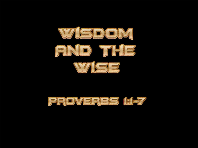

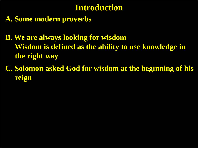## **Introduction**

**A. Some modern proverbs**

**B. We are always looking for wisdom Wisdom is defined as the ability to use knowledge in the right way**

**C. Solomon asked God for wisdom at the beginning of his reign**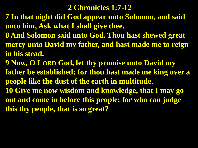#### **2 Chronicles 1:7-12**

- **7 In that night did God appear unto Solomon, and said unto him, Ask what I shall give thee.**
- **8 And Solomon said unto God, Thou hast shewed great mercy unto David my father, and hast made me to reign in his stead.**
- **9 Now, O LORD God, let thy promise unto David my father be established: for thou hast made me king over a people like the dust of the earth in multitude. 10 Give me now wisdom and knowledge, that I may go out and come in before this people: for who can judge this thy people, that is so great?**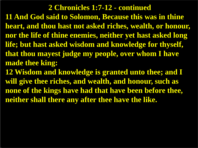#### **2 Chronicles 1:7-12 - continued**

**11 And God said to Solomon, Because this was in thine heart, and thou hast not asked riches, wealth, or honour, nor the life of thine enemies, neither yet hast asked long life; but hast asked wisdom and knowledge for thyself, that thou mayest judge my people, over whom I have made thee king:**

**12 Wisdom and knowledge is granted unto thee; and I will give thee riches, and wealth, and honour, such as none of the kings have had that have been before thee, neither shall there any after thee have the like.**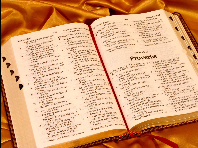$5\overline{)}$ Beasts and all cattle; Creeping things and flying Kings of the earth and all  $6\overline{6}$ Princes and all judges of Both young men and  $\mathcal{I}$ Old men and children. Let them praise the name  $12$ For His "name alone is His glory is above the earth  $1<sup>3</sup>$ Ps. 8:1 And He <sup>"has exalted the</sup> Thorn of His people, The praise of all His Ps. 75:10 - Strength Of the children of Israel,  $14$ A people near to Him. Praise the LORD! Heb. Hallelujah

Stormy wind, fulfilling His  $\Delta$ Mountains and all hills; Fruitful trees and all cedars, 9  $10$ 

He has made a decree which shall not pass Ps. 89:37 Praise the LORD from the 3 earth, sea creatures and Fire and hail, snow and

And "you waters above the **Psalm 148:5** Gen. 1:7 Let them praise the name For "He commanded and they were created. Gen. 1.1.6 "He has also established  $5<sub>5</sub>$ them forever and ever;

 $11$ 

Praise to Him from Creating PSALM 149 **DRAISET the LORD!** Heb. Hou. 930

**"Sing to the LORD a new** 

And His praise in the congregation of saints Let Israel rejoice in their Wake, hildren of Zion be joyful in their King. "Let them praise His name with the dance; Let them sing praises to t the with the timbrel and harp.<br>For the Lorp takes pleasure in His people; In the beautify the humble with salvation. Let the saints be joyful in glory, esing aloud on their beds. their high praises of God be in their mouth, De in two-edged sword in their hand, To execute vengeance on the nations, And punishments on the To bind their kings with And their nobles with 8 fetters of iron; **Everyon them** the written judgment-**"This honor have all His**  $\mathbf{9}$ Deut. 7:1, 2 . 1 Cor. a. **TPraise the LORD!** Heb. Hallelu<sub>lay</sub> saints.

beginning of knowledge, THE proverbs of Solomon the 7 THE proverus of solomon the To know wisdom and nstruction, the words of O<sub>instruction</sub>, understate the instruction of Wiston, judgment, and equity prudence to the To the young man RHOWledge and discretion will hear and Prov. 9:4 11 increase to understanding nd a train wise counsel, Will award a proverb and an envelope of the wise and Ps. 78:2 their <sup>R</sup>riddles.

But fools despise wisdom Job 28:28 "My son, hear the instruction And do not forsake the law Prov. 4:1 For they will be graceful ornaments on your head, And chains about your neck. 10 My son, if sinners entice Gen. 39:7-10 If they say, "Come with us, *\*Do not consent.* Let us "lie in wait to shed Let us lurk secretly for the innocent without cause: 12 Let us swallow them alive like 'Sheol, like those<br>And whole, "like those" go down to the Pit;

#### Proverbs "The fear of the LORD is the

#### The Book of

aise numerati expanse of heaven 5 Praise Him for His mighty Praets; Him according to His also ellent greatness! Praise Him with the sound als the Trumpet;

"Praise the LORD!" PSALM 150 RAISE<sup>R</sup> the LORD! Ps. 145:5, 6  $\Delta$ Praise God in His Praise ctuary; His mighty

931

Proverbs 1:12 Praise Him with the lute Praise Him with the timbrel Praise Him with stringed instruments and flutes! Praise Him with loud Praise Him with high sounding cymbals! Let everything that has breath praise the LORD. "Praise the LORD! Heb. Hallelujah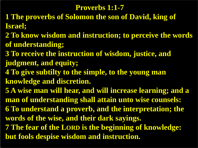### **Proverbs 1:1-7**

- **1 The proverbs of Solomon the son of David, king of Israel;**
- **2 To know wisdom and instruction; to perceive the words of understanding;**
- **3 To receive the instruction of wisdom, justice, and judgment, and equity;**
- **4 To give subtilty to the simple, to the young man knowledge and discretion.**
- **5 A wise man will hear, and will increase learning; and a man of understanding shall attain unto wise counsels: 6 To understand a proverb, and the interpretation; the words of the wise, and their dark sayings. 7 The fear of the LORD is the beginning of knowledge: but fools despise wisdom and instruction.**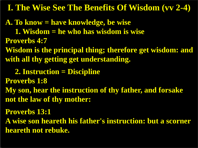**A. To know = have knowledge, be wise 1. Wisdom = he who has wisdom is wise Proverbs 4:7 Wisdom is the principal thing; therefore get wisdom: and with all thy getting get understanding.**

 **2. Instruction = Discipline**

**Proverbs 1:8**

**My son, hear the instruction of thy father, and forsake not the law of thy mother:** 

**Proverbs 13:1**

**A wise son heareth his father's instruction: but a scorner heareth not rebuke.**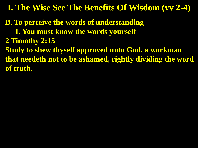**B. To perceive the words of understanding 1. You must know the words yourself 2 Timothy 2:15 Study to shew thyself approved unto God, a workman that needeth not to be ashamed, rightly dividing the word of truth.**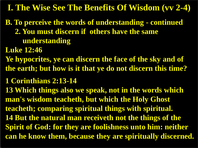**B. To perceive the words of understanding - continued 2. You must discern if others have the same understanding**

**Luke 12:46**

**Ye hypocrites, ye can discern the face of the sky and of the earth; but how is it that ye do not discern this time?**

**1 Corinthians 2:13-14**

**13 Which things also we speak, not in the words which man's wisdom teacheth, but which the Holy Ghost teacheth; comparing spiritual things with spiritual. 14 But the natural man receiveth not the things of the Spirit of God: for they are foolishness unto him: neither can he know them, because they are spiritually discerned.**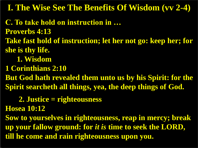**C. To take hold on instruction in … Proverbs 4:13 Take fast hold of instruction; let her not go: keep her; for she is thy life. 1. Wisdom 1 Corinthians 2:10 But God hath revealed them unto us by his Spirit: for the Spirit searcheth all things, yea, the deep things of God.**

 **2. Justice = righteousness**

**Hosea 10:12**

**Sow to yourselves in righteousness, reap in mercy; break up your fallow ground: for** *it is* **time to seek the LORD, till he come and rain righteousness upon you.**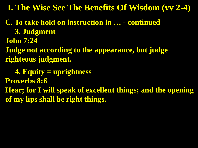- **C. To take hold on instruction in … - continued 3. Judgment John 7:24**
- **Judge not according to the appearance, but judge righteous judgment.**

 **4. Equity = uprightness Proverbs 8:6 Hear; for I will speak of excellent things; and the opening of my lips shall be right things.**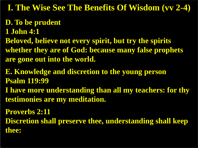# **D. To be prudent**

- **1 John 4:1**
- **Beloved, believe not every spirit, but try the spirits whether they are of God: because many false prophets are gone out into the world.**
- **E. Knowledge and discretion to the young person Psalm 119:99**
- **I have more understanding than all my teachers: for thy testimonies are my meditation.**

**Proverbs 2:11 Discretion shall preserve thee, understanding shall keep thee:**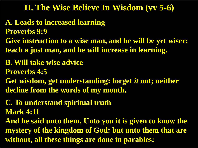## **II. The Wise Believe In Wisdom (vv 5-6)**

**A. Leads to increased learning Proverbs 9:9 Give instruction to a wise man, and he will be yet wiser: teach a just man, and he will increase in learning.** 

**B. Will take wise advice**

**Proverbs 4:5**

**Get wisdom, get understanding: forget** *it* **not; neither decline from the words of my mouth.** 

**C. To understand spiritual truth Mark 4:11**

**And he said unto them, Unto you it is given to know the mystery of the kingdom of God: but unto them that are without, all these things are done in parables:**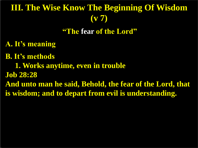# **III. The Wise Know The Beginning Of Wisdom (v 7)**

**"The fear of the Lord"**

**A. It's meaning**

**B. It's methods**

 **1. Works anytime, even in trouble**

**Job 28:28**

**And unto man he said, Behold, the fear of the Lord, that is wisdom; and to depart from evil is understanding.**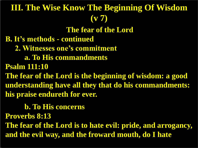# **The fear of the Lord B. It's methods - continued 2. Witnesses one's commitment a. To His commandments Psalm 111:10 III. The Wise Know The Beginning Of Wisdom (v 7)**

**The fear of the Lord is the beginning of wisdom: a good understanding have all they that do his commandments: his praise endureth for ever.**

 **b. To His concerns**

**Proverbs 8:13**

**The fear of the Lord is to hate evil: pride, and arrogancy, and the evil way, and the froward mouth, do I hate**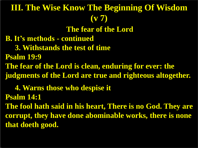# **III. The Wise Know The Beginning Of Wisdom (v 7)**

**The fear of the Lord**

**B. It's methods - continued**

 **3. Withstands the test of time**

**Psalm 19:9**

**The fear of the Lord is clean, enduring for ever: the judgments of the Lord are true and righteous altogether.**

 **4. Warns those who despise it**

**Psalm 14:1**

**The fool hath said in his heart, There is no God. They are corrupt, they have done abominable works, there is none that doeth good.**